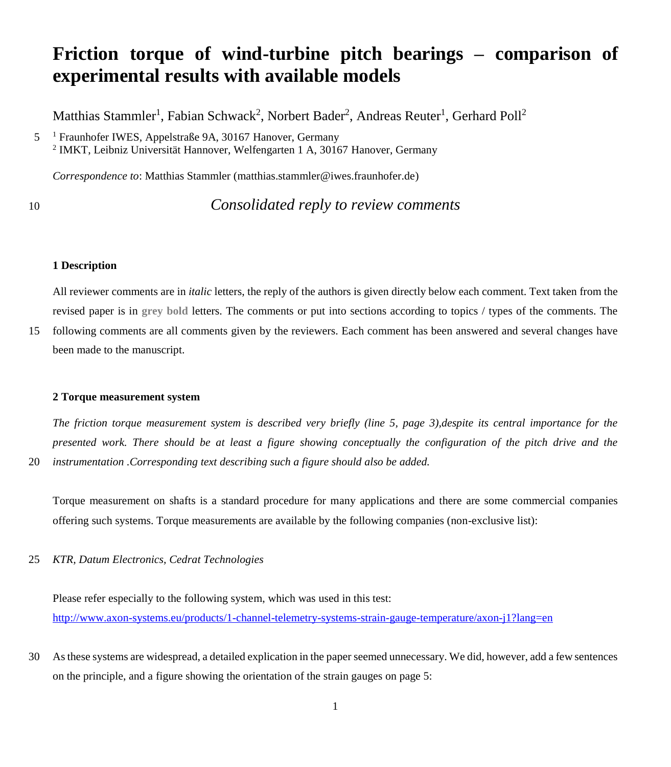# **Friction torque of wind-turbine pitch bearings – comparison of experimental results with available models**

Matthias Stammler<sup>1</sup>, Fabian Schwack<sup>2</sup>, Norbert Bader<sup>2</sup>, Andreas Reuter<sup>1</sup>, Gerhard Poll<sup>2</sup>

*Correspondence to*: Matthias Stammler (matthias.stammler@iwes.fraunhofer.de)

10 *Consolidated reply to review comments*

#### **1 Description**

All reviewer comments are in *italic* letters, the reply of the authors is given directly below each comment. Text taken from the revised paper is in **grey bold** letters. The comments or put into sections according to topics / types of the comments. The

15 following comments are all comments given by the reviewers. Each comment has been answered and several changes have been made to the manuscript.

#### **2 Torque measurement system**

*The friction torque measurement system is described very briefly (line 5, page 3),despite its central importance for the presented work. There should be at least a figure showing conceptually the configuration of the pitch drive and the*  20 *instrumentation .Corresponding text describing such a figure should also be added.*

Torque measurement on shafts is a standard procedure for many applications and there are some commercial companies offering such systems. Torque measurements are available by the following companies (non-exclusive list):

25 *KTR, Datum Electronics, Cedrat Technologies*

Please refer especially to the following system, which was used in this test: <http://www.axon-systems.eu/products/1-channel-telemetry-systems-strain-gauge-temperature/axon-j1?lang=en>

30 As these systems are widespread, a detailed explication in the paper seemed unnecessary. We did, however, add a few sentences on the principle, and a figure showing the orientation of the strain gauges on page 5:

<sup>1</sup> 5 Fraunhofer IWES, Appelstraße 9A, 30167 Hanover, Germany 2 IMKT, Leibniz Universität Hannover, Welfengarten 1 A, 30167 Hanover, Germany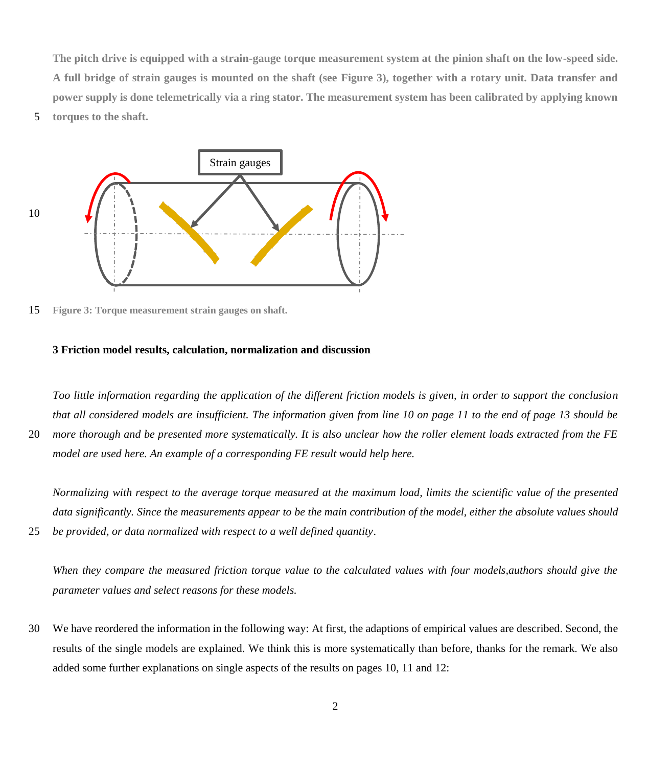**The pitch drive is equipped with a strain-gauge torque measurement system at the pinion shaft on the low-speed side. A full bridge of strain gauges is mounted on the shaft (see Figure 3), together with a rotary unit. Data transfer and power supply is done telemetrically via a ring stator. The measurement system has been calibrated by applying known** 

5 **torques to the shaft.** 



15 **Figure 3: Torque measurement strain gauges on shaft.**

#### **3 Friction model results, calculation, normalization and discussion**

*Too little information regarding the application of the different friction models is given, in order to support the conclusion that all considered models are insufficient. The information given from line 10 on page 11 to the end of page 13 should be*  20 *more thorough and be presented more systematically. It is also unclear how the roller element loads extracted from the FE* 

*model are used here. An example of a corresponding FE result would help here.*

*Normalizing with respect to the average torque measured at the maximum load, limits the scientific value of the presented data significantly. Since the measurements appear to be the main contribution of the model, either the absolute values should*  25 *be provided, or data normalized with respect to a well defined quantity*.

*When they compare the measured friction torque value to the calculated values with four models,authors should give the parameter values and select reasons for these models.*

30 We have reordered the information in the following way: At first, the adaptions of empirical values are described. Second, the results of the single models are explained. We think this is more systematically than before, thanks for the remark. We also added some further explanations on single aspects of the results on pages 10, 11 and 12: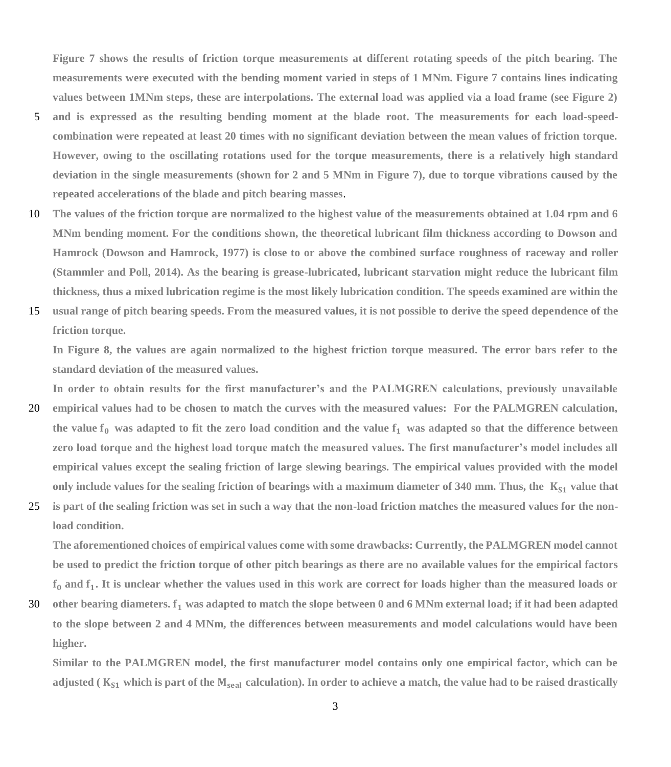**Figure 7 shows the results of friction torque measurements at different rotating speeds of the pitch bearing. The measurements were executed with the bending moment varied in steps of 1 MNm. Figure 7 contains lines indicating values between 1MNm steps, these are interpolations. The external load was applied via a load frame (see Figure 2)** 

- 5 **and is expressed as the resulting bending moment at the blade root. The measurements for each load-speedcombination were repeated at least 20 times with no significant deviation between the mean values of friction torque. However, owing to the oscillating rotations used for the torque measurements, there is a relatively high standard deviation in the single measurements (shown for 2 and 5 MNm in Figure 7), due to torque vibrations caused by the repeated accelerations of the blade and pitch bearing masses**.
- 10 **The values of the friction torque are normalized to the highest value of the measurements obtained at 1.04 rpm and 6 MNm bending moment. For the conditions shown, the theoretical lubricant film thickness according to Dowson and Hamrock (Dowson and Hamrock, 1977) is close to or above the combined surface roughness of raceway and roller (Stammler and Poll, 2014). As the bearing is grease-lubricated, lubricant starvation might reduce the lubricant film thickness, thus a mixed lubrication regime is the most likely lubrication condition. The speeds examined are within the**
- 15 **usual range of pitch bearing speeds. From the measured values, it is not possible to derive the speed dependence of the friction torque.**

**In Figure 8, the values are again normalized to the highest friction torque measured. The error bars refer to the standard deviation of the measured values.** 

**In order to obtain results for the first manufacturer's and the PALMGREN calculations, previously unavailable**  20 **empirical values had to be chosen to match the curves with the measured values: For the PALMGREN calculation,** 

- the value  $f_0$  was adapted to fit the zero load condition and the value  $f_1$  was adapted so that the difference between **zero load torque and the highest load torque match the measured values. The first manufacturer's model includes all empirical values except the sealing friction of large slewing bearings. The empirical values provided with the model only include values for the sealing friction of bearings with a maximum diameter of 340 mm. Thus, the**  $K_{S1}$  **value that**
- 25 **is part of the sealing friction was set in such a way that the non-load friction matches the measured values for the nonload condition.**

**The aforementioned choices of empirical values come with some drawbacks: Currently, the PALMGREN model cannot be used to predict the friction torque of other pitch bearings as there are no available values for the empirical factors and . It is unclear whether the values used in this work are correct for loads higher than the measured loads or** 

30 **other bearing diameters. was adapted to match the slope between 0 and 6 MNm external load; if it had been adapted to the slope between 2 and 4 MNm, the differences between measurements and model calculations would have been higher.**

**Similar to the PALMGREN model, the first manufacturer model contains only one empirical factor, which can be adjusted** ( $K_{S1}$  which is part of the  $M_{\text{seal}}$  calculation). In order to achieve a match, the value had to be raised drastically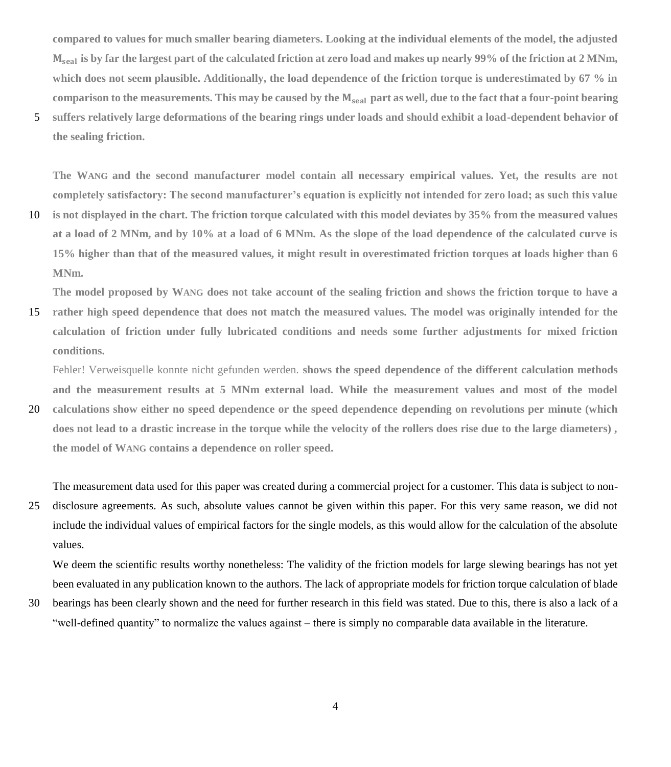**compared to values for much smaller bearing diameters. Looking at the individual elements of the model, the adjusted is by far the largest part of the calculated friction at zero load and makes up nearly 99% of the friction at 2 MNm, which does not seem plausible. Additionally, the load dependence of the friction torque is underestimated by 67 % in**  comparison to the measurements. This may be caused by the  $M_{\text{scal}}$  part as well, due to the fact that a four-point bearing

5 **suffers relatively large deformations of the bearing rings under loads and should exhibit a load-dependent behavior of the sealing friction.**

**The WANG and the second manufacturer model contain all necessary empirical values. Yet, the results are not completely satisfactory: The second manufacturer's equation is explicitly not intended for zero load; as such this value** 

10 **is not displayed in the chart. The friction torque calculated with this model deviates by 35% from the measured values at a load of 2 MNm, and by 10% at a load of 6 MNm. As the slope of the load dependence of the calculated curve is 15% higher than that of the measured values, it might result in overestimated friction torques at loads higher than 6 MNm.** 

**The model proposed by WANG does not take account of the sealing friction and shows the friction torque to have a** 

15 **rather high speed dependence that does not match the measured values. The model was originally intended for the calculation of friction under fully lubricated conditions and needs some further adjustments for mixed friction conditions.** 

Fehler! Verweisquelle konnte nicht gefunden werden. **shows the speed dependence of the different calculation methods and the measurement results at 5 MNm external load. While the measurement values and most of the model** 

20 **calculations show either no speed dependence or the speed dependence depending on revolutions per minute (which does not lead to a drastic increase in the torque while the velocity of the rollers does rise due to the large diameters) , the model of WANG contains a dependence on roller speed.** 

The measurement data used for this paper was created during a commercial project for a customer. This data is subject to non-

25 disclosure agreements. As such, absolute values cannot be given within this paper. For this very same reason, we did not include the individual values of empirical factors for the single models, as this would allow for the calculation of the absolute values.

We deem the scientific results worthy nonetheless: The validity of the friction models for large slewing bearings has not yet been evaluated in any publication known to the authors. The lack of appropriate models for friction torque calculation of blade

30 bearings has been clearly shown and the need for further research in this field was stated. Due to this, there is also a lack of a "well-defined quantity" to normalize the values against – there is simply no comparable data available in the literature.